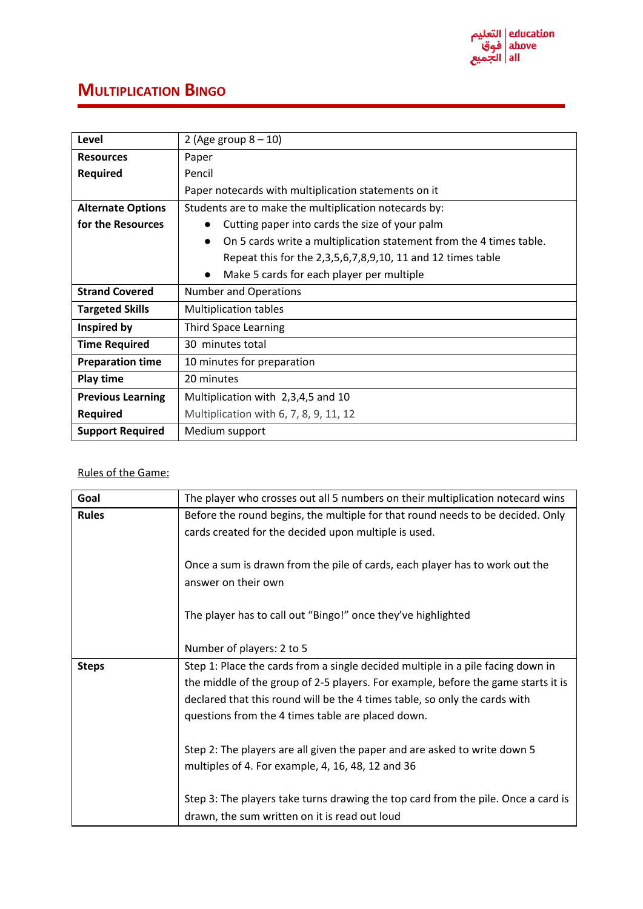## **MULTIPLICATION BINGO**

| Level                    | 2 (Age group $8 - 10$ )                                                          |  |  |
|--------------------------|----------------------------------------------------------------------------------|--|--|
| <b>Resources</b>         | Paper                                                                            |  |  |
| <b>Required</b>          | Pencil                                                                           |  |  |
|                          | Paper notecards with multiplication statements on it                             |  |  |
| <b>Alternate Options</b> | Students are to make the multiplication notecards by:                            |  |  |
| for the Resources        | Cutting paper into cards the size of your palm<br>$\bullet$                      |  |  |
|                          | On 5 cards write a multiplication statement from the 4 times table.<br>$\bullet$ |  |  |
|                          | Repeat this for the 2,3,5,6,7,8,9,10, 11 and 12 times table                      |  |  |
|                          | Make 5 cards for each player per multiple                                        |  |  |
| <b>Strand Covered</b>    | <b>Number and Operations</b>                                                     |  |  |
| <b>Targeted Skills</b>   | <b>Multiplication tables</b>                                                     |  |  |
| Inspired by              | <b>Third Space Learning</b>                                                      |  |  |
| <b>Time Required</b>     | 30 minutes total                                                                 |  |  |
| <b>Preparation time</b>  | 10 minutes for preparation                                                       |  |  |
| <b>Play time</b>         | 20 minutes                                                                       |  |  |
| <b>Previous Learning</b> | Multiplication with 2,3,4,5 and 10                                               |  |  |
| <b>Required</b>          | Multiplication with 6, 7, 8, 9, 11, 12                                           |  |  |
| <b>Support Required</b>  | Medium support                                                                   |  |  |

## Rules of the Game:

| Goal         | The player who crosses out all 5 numbers on their multiplication notecard wins    |  |  |  |  |
|--------------|-----------------------------------------------------------------------------------|--|--|--|--|
| <b>Rules</b> | Before the round begins, the multiple for that round needs to be decided. Only    |  |  |  |  |
|              | cards created for the decided upon multiple is used.                              |  |  |  |  |
|              |                                                                                   |  |  |  |  |
|              | Once a sum is drawn from the pile of cards, each player has to work out the       |  |  |  |  |
|              | answer on their own                                                               |  |  |  |  |
|              |                                                                                   |  |  |  |  |
|              | The player has to call out "Bingo!" once they've highlighted                      |  |  |  |  |
|              |                                                                                   |  |  |  |  |
|              | Number of players: 2 to 5                                                         |  |  |  |  |
| <b>Steps</b> | Step 1: Place the cards from a single decided multiple in a pile facing down in   |  |  |  |  |
|              | the middle of the group of 2-5 players. For example, before the game starts it is |  |  |  |  |
|              | declared that this round will be the 4 times table, so only the cards with        |  |  |  |  |
|              | questions from the 4 times table are placed down.                                 |  |  |  |  |
|              |                                                                                   |  |  |  |  |
|              | Step 2: The players are all given the paper and are asked to write down 5         |  |  |  |  |
|              | multiples of 4. For example, 4, 16, 48, 12 and 36                                 |  |  |  |  |
|              |                                                                                   |  |  |  |  |
|              | Step 3: The players take turns drawing the top card from the pile. Once a card is |  |  |  |  |
|              | drawn, the sum written on it is read out loud                                     |  |  |  |  |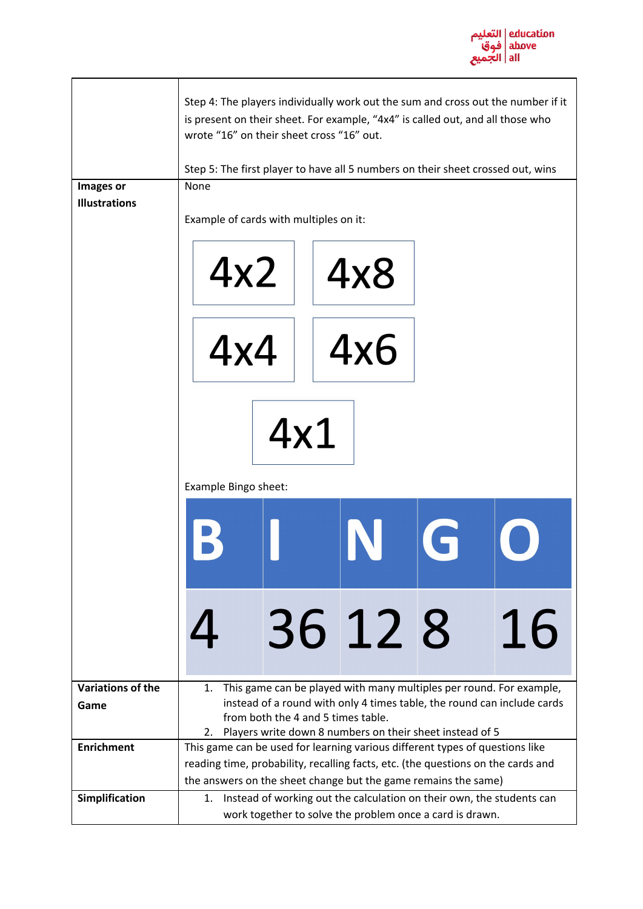

|                          | Step 4: The players individually work out the sum and cross out the number if it<br>is present on their sheet. For example, "4x4" is called out, and all those who<br>wrote "16" on their sheet cross "16" out.<br>Step 5: The first player to have all 5 numbers on their sheet crossed out, wins |                                                          |  |    |  |  |
|--------------------------|----------------------------------------------------------------------------------------------------------------------------------------------------------------------------------------------------------------------------------------------------------------------------------------------------|----------------------------------------------------------|--|----|--|--|
| Images or                | None                                                                                                                                                                                                                                                                                               |                                                          |  |    |  |  |
| <b>Illustrations</b>     |                                                                                                                                                                                                                                                                                                    |                                                          |  |    |  |  |
|                          | Example of cards with multiples on it:                                                                                                                                                                                                                                                             |                                                          |  |    |  |  |
|                          | 4x2                                                                                                                                                                                                                                                                                                | 4x8                                                      |  |    |  |  |
|                          | 4x4                                                                                                                                                                                                                                                                                                | 4x6                                                      |  |    |  |  |
|                          | 4x1<br>Example Bingo sheet:                                                                                                                                                                                                                                                                        |                                                          |  |    |  |  |
|                          |                                                                                                                                                                                                                                                                                                    |                                                          |  |    |  |  |
|                          |                                                                                                                                                                                                                                                                                                    | 36 12 8                                                  |  | 16 |  |  |
| <b>Variations of the</b> | This game can be played with many multiples per round. For example,<br>1.                                                                                                                                                                                                                          |                                                          |  |    |  |  |
| Game                     | instead of a round with only 4 times table, the round can include cards<br>from both the 4 and 5 times table.                                                                                                                                                                                      |                                                          |  |    |  |  |
|                          | 2.                                                                                                                                                                                                                                                                                                 | Players write down 8 numbers on their sheet instead of 5 |  |    |  |  |
| <b>Enrichment</b>        | This game can be used for learning various different types of questions like                                                                                                                                                                                                                       |                                                          |  |    |  |  |
|                          | reading time, probability, recalling facts, etc. (the questions on the cards and                                                                                                                                                                                                                   |                                                          |  |    |  |  |
| Simplification           | the answers on the sheet change but the game remains the same)<br>Instead of working out the calculation on their own, the students can<br>1.                                                                                                                                                      |                                                          |  |    |  |  |
|                          | work together to solve the problem once a card is drawn.                                                                                                                                                                                                                                           |                                                          |  |    |  |  |
|                          |                                                                                                                                                                                                                                                                                                    |                                                          |  |    |  |  |